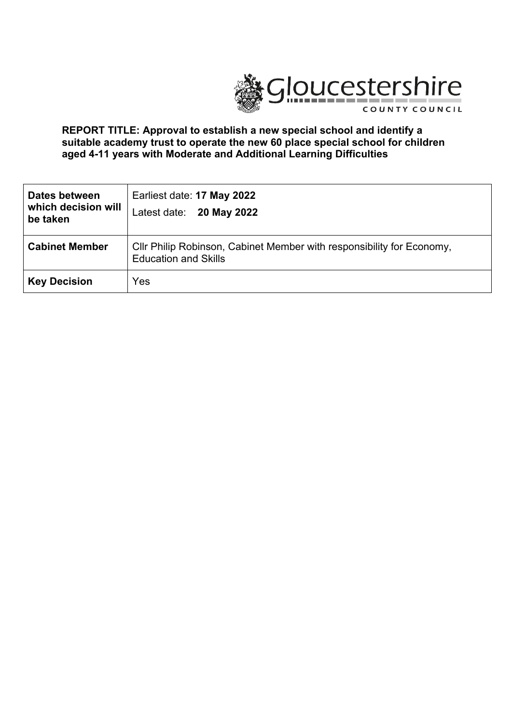

### **REPORT TITLE: Approval to establish a new special school and identify a suitable academy trust to operate the new 60 place special school for children aged 4-11 years with Moderate and Additional Learning Difficulties**

| Dates between<br>which decision will<br>be taken | Earliest date: 17 May 2022<br>Latest date: 20 May 2022                                               |  |
|--------------------------------------------------|------------------------------------------------------------------------------------------------------|--|
| <b>Cabinet Member</b>                            | Cllr Philip Robinson, Cabinet Member with responsibility for Economy,<br><b>Education and Skills</b> |  |
| <b>Key Decision</b>                              | Yes                                                                                                  |  |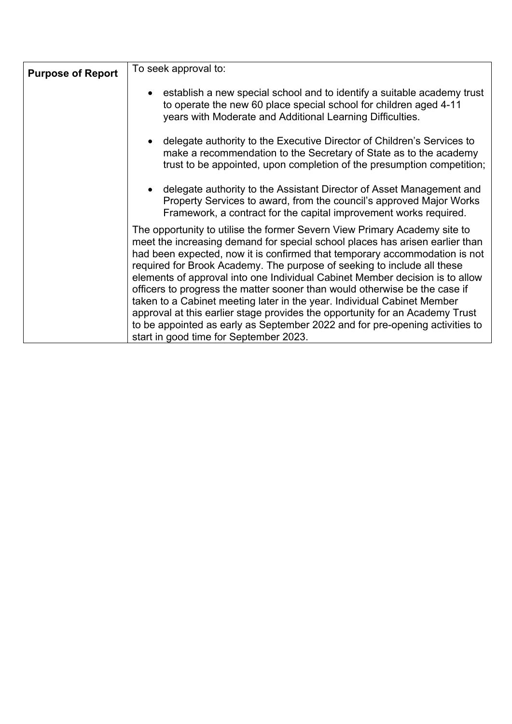| <b>Purpose of Report</b> | To seek approval to:                                                                                                                                                                                                                                                                                                                                                                                                                                                                                                                                                                                                                                                                                                                                                  |  |
|--------------------------|-----------------------------------------------------------------------------------------------------------------------------------------------------------------------------------------------------------------------------------------------------------------------------------------------------------------------------------------------------------------------------------------------------------------------------------------------------------------------------------------------------------------------------------------------------------------------------------------------------------------------------------------------------------------------------------------------------------------------------------------------------------------------|--|
|                          | establish a new special school and to identify a suitable academy trust<br>to operate the new 60 place special school for children aged 4-11<br>years with Moderate and Additional Learning Difficulties.                                                                                                                                                                                                                                                                                                                                                                                                                                                                                                                                                             |  |
|                          | delegate authority to the Executive Director of Children's Services to<br>make a recommendation to the Secretary of State as to the academy<br>trust to be appointed, upon completion of the presumption competition;                                                                                                                                                                                                                                                                                                                                                                                                                                                                                                                                                 |  |
|                          | delegate authority to the Assistant Director of Asset Management and<br>Property Services to award, from the council's approved Major Works<br>Framework, a contract for the capital improvement works required.                                                                                                                                                                                                                                                                                                                                                                                                                                                                                                                                                      |  |
|                          | The opportunity to utilise the former Severn View Primary Academy site to<br>meet the increasing demand for special school places has arisen earlier than<br>had been expected, now it is confirmed that temporary accommodation is not<br>required for Brook Academy. The purpose of seeking to include all these<br>elements of approval into one Individual Cabinet Member decision is to allow<br>officers to progress the matter sooner than would otherwise be the case if<br>taken to a Cabinet meeting later in the year. Individual Cabinet Member<br>approval at this earlier stage provides the opportunity for an Academy Trust<br>to be appointed as early as September 2022 and for pre-opening activities to<br>start in good time for September 2023. |  |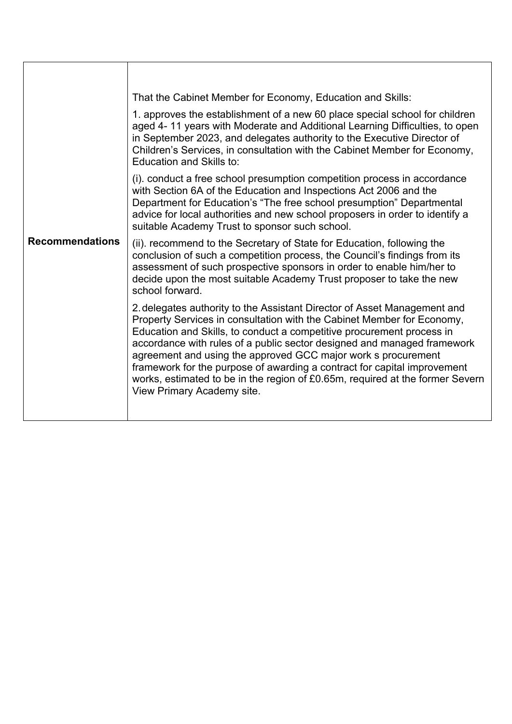|                        | That the Cabinet Member for Economy, Education and Skills:                                                                                                                                                                                                                                                                                                                                                                                                                                                                                                         |
|------------------------|--------------------------------------------------------------------------------------------------------------------------------------------------------------------------------------------------------------------------------------------------------------------------------------------------------------------------------------------------------------------------------------------------------------------------------------------------------------------------------------------------------------------------------------------------------------------|
| <b>Recommendations</b> | 1. approves the establishment of a new 60 place special school for children<br>aged 4-11 years with Moderate and Additional Learning Difficulties, to open<br>in September 2023, and delegates authority to the Executive Director of<br>Children's Services, in consultation with the Cabinet Member for Economy,<br>Education and Skills to:                                                                                                                                                                                                                     |
|                        | (i). conduct a free school presumption competition process in accordance<br>with Section 6A of the Education and Inspections Act 2006 and the<br>Department for Education's "The free school presumption" Departmental<br>advice for local authorities and new school proposers in order to identify a<br>suitable Academy Trust to sponsor such school.                                                                                                                                                                                                           |
|                        | (ii). recommend to the Secretary of State for Education, following the<br>conclusion of such a competition process, the Council's findings from its<br>assessment of such prospective sponsors in order to enable him/her to<br>decide upon the most suitable Academy Trust proposer to take the new<br>school forward.                                                                                                                                                                                                                                            |
|                        | 2. delegates authority to the Assistant Director of Asset Management and<br>Property Services in consultation with the Cabinet Member for Economy,<br>Education and Skills, to conduct a competitive procurement process in<br>accordance with rules of a public sector designed and managed framework<br>agreement and using the approved GCC major work s procurement<br>framework for the purpose of awarding a contract for capital improvement<br>works, estimated to be in the region of £0.65m, required at the former Severn<br>View Primary Academy site. |
|                        |                                                                                                                                                                                                                                                                                                                                                                                                                                                                                                                                                                    |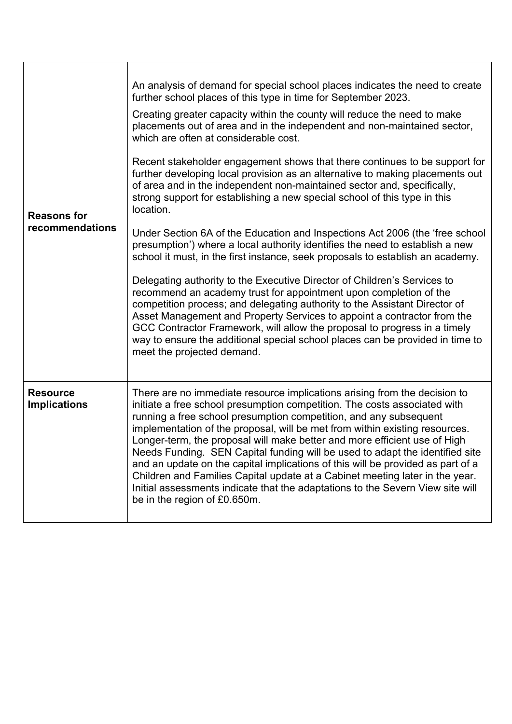| <b>Reasons for</b><br>recommendations  | An analysis of demand for special school places indicates the need to create<br>further school places of this type in time for September 2023.<br>Creating greater capacity within the county will reduce the need to make<br>placements out of area and in the independent and non-maintained sector,<br>which are often at considerable cost.<br>Recent stakeholder engagement shows that there continues to be support for<br>further developing local provision as an alternative to making placements out<br>of area and in the independent non-maintained sector and, specifically,<br>strong support for establishing a new special school of this type in this<br>location.<br>Under Section 6A of the Education and Inspections Act 2006 (the 'free school<br>presumption') where a local authority identifies the need to establish a new<br>school it must, in the first instance, seek proposals to establish an academy.<br>Delegating authority to the Executive Director of Children's Services to<br>recommend an academy trust for appointment upon completion of the<br>competition process; and delegating authority to the Assistant Director of<br>Asset Management and Property Services to appoint a contractor from the<br>GCC Contractor Framework, will allow the proposal to progress in a timely<br>way to ensure the additional special school places can be provided in time to<br>meet the projected demand. |
|----------------------------------------|---------------------------------------------------------------------------------------------------------------------------------------------------------------------------------------------------------------------------------------------------------------------------------------------------------------------------------------------------------------------------------------------------------------------------------------------------------------------------------------------------------------------------------------------------------------------------------------------------------------------------------------------------------------------------------------------------------------------------------------------------------------------------------------------------------------------------------------------------------------------------------------------------------------------------------------------------------------------------------------------------------------------------------------------------------------------------------------------------------------------------------------------------------------------------------------------------------------------------------------------------------------------------------------------------------------------------------------------------------------------------------------------------------------------------------------------|
| <b>Resource</b><br><b>Implications</b> | There are no immediate resource implications arising from the decision to<br>initiate a free school presumption competition. The costs associated with<br>running a free school presumption competition, and any subsequent<br>implementation of the proposal, will be met from within existing resources.<br>Longer-term, the proposal will make better and more efficient use of High<br>Needs Funding. SEN Capital funding will be used to adapt the identified site<br>and an update on the capital implications of this will be provided as part of a<br>Children and Families Capital update at a Cabinet meeting later in the year.<br>Initial assessments indicate that the adaptations to the Severn View site will<br>be in the region of £0.650m.                                                                                                                                                                                                                                                                                                                                                                                                                                                                                                                                                                                                                                                                                |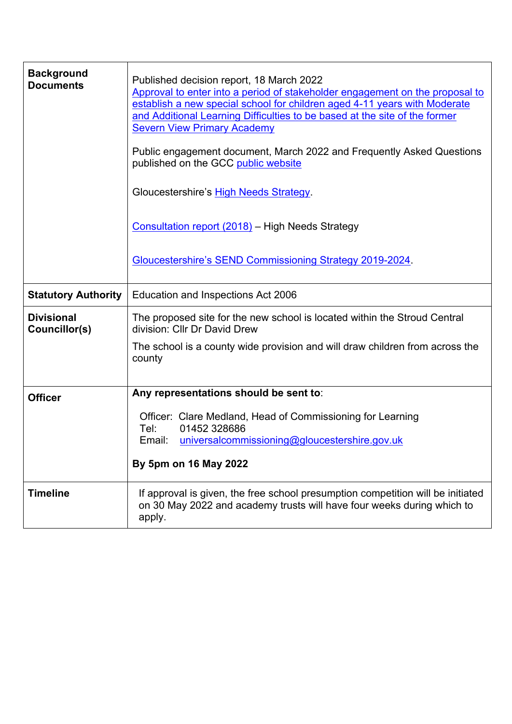| <b>Background</b><br><b>Documents</b> | Published decision report, 18 March 2022<br>Approval to enter into a period of stakeholder engagement on the proposal to<br>establish a new special school for children aged 4-11 years with Moderate<br>and Additional Learning Difficulties to be based at the site of the former<br><b>Severn View Primary Academy</b><br>Public engagement document, March 2022 and Frequently Asked Questions<br>published on the GCC public website<br>Gloucestershire's High Needs Strategy.<br>Consultation report (2018) - High Needs Strategy<br>Gloucestershire's SEND Commissioning Strategy 2019-2024. |
|---------------------------------------|-----------------------------------------------------------------------------------------------------------------------------------------------------------------------------------------------------------------------------------------------------------------------------------------------------------------------------------------------------------------------------------------------------------------------------------------------------------------------------------------------------------------------------------------------------------------------------------------------------|
| <b>Statutory Authority</b>            | Education and Inspections Act 2006                                                                                                                                                                                                                                                                                                                                                                                                                                                                                                                                                                  |
| <b>Divisional</b><br>Councillor(s)    | The proposed site for the new school is located within the Stroud Central<br>division: Cllr Dr David Drew                                                                                                                                                                                                                                                                                                                                                                                                                                                                                           |
|                                       | The school is a county wide provision and will draw children from across the<br>county                                                                                                                                                                                                                                                                                                                                                                                                                                                                                                              |
| <b>Officer</b>                        | Any representations should be sent to:                                                                                                                                                                                                                                                                                                                                                                                                                                                                                                                                                              |
|                                       | Officer: Clare Medland, Head of Commissioning for Learning                                                                                                                                                                                                                                                                                                                                                                                                                                                                                                                                          |
|                                       | 01452 328686<br>Tel:<br>Email:<br>universalcommissioning@gloucestershire.gov.uk                                                                                                                                                                                                                                                                                                                                                                                                                                                                                                                     |
|                                       | By 5pm on 16 May 2022                                                                                                                                                                                                                                                                                                                                                                                                                                                                                                                                                                               |
| <b>Timeline</b>                       | If approval is given, the free school presumption competition will be initiated<br>on 30 May 2022 and academy trusts will have four weeks during which to<br>apply.                                                                                                                                                                                                                                                                                                                                                                                                                                 |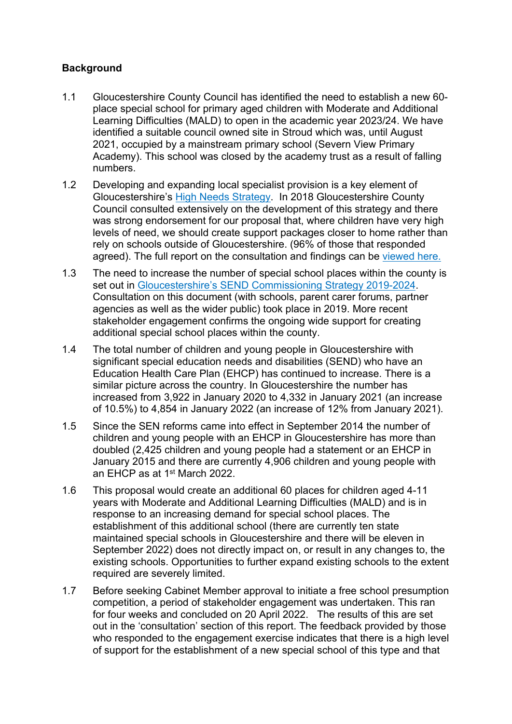## **Background**

- 1.1 Gloucestershire County Council has identified the need to establish a new 60 place special school for primary aged children with Moderate and Additional Learning Difficulties (MALD) to open in the academic year 2023/24. We have identified a suitable council owned site in Stroud which was, until August 2021, occupied by a mainstream primary school (Severn View Primary Academy). This school was closed by the academy trust as a result of falling numbers.
- 1.2 Developing and expanding local specialist provision is a key element of Gloucestershire's High Needs [Strategy.](http://glostext.gloucestershire.gov.uk/documents/s53586/High%20Needs%20Strategy%20for%20SF.pdf) In 2018 Gloucestershire County Council consulted extensively on the development of this strategy and there was strong endorsement for our proposal that, where children have very high levels of need, we should create support packages closer to home rather than rely on schools outside of Gloucestershire. (96% of those that responded agreed). The full report on the consultation and findings can be [viewed](https://www.gloucestershire.gov.uk/media/2085709/consultation-findings-report-nov18.pdf) here.
- 1.3 The need to increase the number of special school places within the county is set out in [Gloucestershire's](https://www.gloucestershire.gov.uk/education-and-learning/special-educational-needs-and-disability-send/send-commissioning-strategy/) SEND Commissioning Strategy 2019-2024. Consultation on this document (with schools, parent carer forums, partner agencies as well as the wider public) took place in 2019. More recent stakeholder engagement confirms the ongoing wide support for creating additional special school places within the county.
- 1.4 The total number of children and young people in Gloucestershire with significant special education needs and disabilities (SEND) who have an Education Health Care Plan (EHCP) has continued to increase. There is a similar picture across the country. In Gloucestershire the number has increased from 3,922 in January 2020 to 4,332 in January 2021 (an increase of 10.5%) to 4,854 in January 2022 (an increase of 12% from January 2021).
- 1.5 Since the SEN reforms came into effect in September 2014 the number of children and young people with an EHCP in Gloucestershire has more than doubled (2,425 children and young people had a statement or an EHCP in January 2015 and there are currently 4,906 children and young people with an EHCP as at 1<sup>st</sup> March 2022.
- 1.6 This proposal would create an additional 60 places for children aged 4-11 years with Moderate and Additional Learning Difficulties (MALD) and is in response to an increasing demand for special school places. The establishment of this additional school (there are currently ten state maintained special schools in Gloucestershire and there will be eleven in September 2022) does not directly impact on, or result in any changes to, the existing schools. Opportunities to further expand existing schools to the extent required are severely limited.
- 1.7 Before seeking Cabinet Member approval to initiate a free school presumption competition, a period of stakeholder engagement was undertaken. This ran for four weeks and concluded on 20 April 2022. The results of this are set out in the 'consultation' section of this report. The feedback provided by those who responded to the engagement exercise indicates that there is a high level of support for the establishment of a new special school of this type and that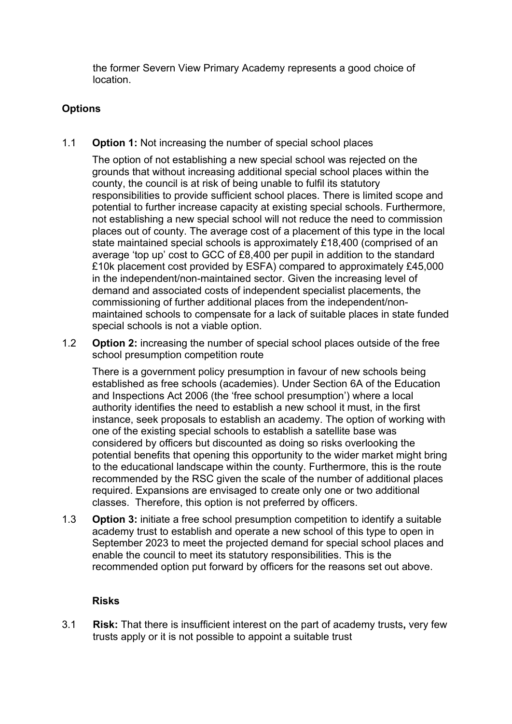the former Severn View Primary Academy represents a good choice of location.

## **Options**

1.1 **Option 1:** Not increasing the number of special school places

The option of not establishing a new special school was rejected on the grounds that without increasing additional special school places within the county, the council is at risk of being unable to fulfil its statutory responsibilities to provide sufficient school places. There is limited scope and potential to further increase capacity at existing special schools. Furthermore, not establishing a new special school will not reduce the need to commission places out of county. The average cost of a placement of this type in the local state maintained special schools is approximately £18,400 (comprised of an average 'top up' cost to GCC of £8,400 per pupil in addition to the standard £10k placement cost provided by ESFA) compared to approximately £45,000 in the independent/non-maintained sector. Given the increasing level of demand and associated costs of independent specialist placements, the commissioning of further additional places from the independent/nonmaintained schools to compensate for a lack of suitable places in state funded special schools is not a viable option.

1.2 **Option 2:** increasing the number of special school places outside of the free school presumption competition route

There is a government policy presumption in favour of new schools being established as free schools (academies). Under Section 6A of the Education and Inspections Act 2006 (the 'free school presumption') where a local authority identifies the need to establish a new school it must, in the first instance, seek proposals to establish an academy. The option of working with one of the existing special schools to establish a satellite base was considered by officers but discounted as doing so risks overlooking the potential benefits that opening this opportunity to the wider market might bring to the educational landscape within the county. Furthermore, this is the route recommended by the RSC given the scale of the number of additional places required. Expansions are envisaged to create only one or two additional classes. Therefore, this option is not preferred by officers.

1.3 **Option 3:** initiate a free school presumption competition to identify a suitable academy trust to establish and operate a new school of this type to open in September 2023 to meet the projected demand for special school places and enable the council to meet its statutory responsibilities. This is the recommended option put forward by officers for the reasons set out above.

### **Risks**

3.1 **Risk:** That there is insufficient interest on the part of academy trusts**,** very few trusts apply or it is not possible to appoint a suitable trust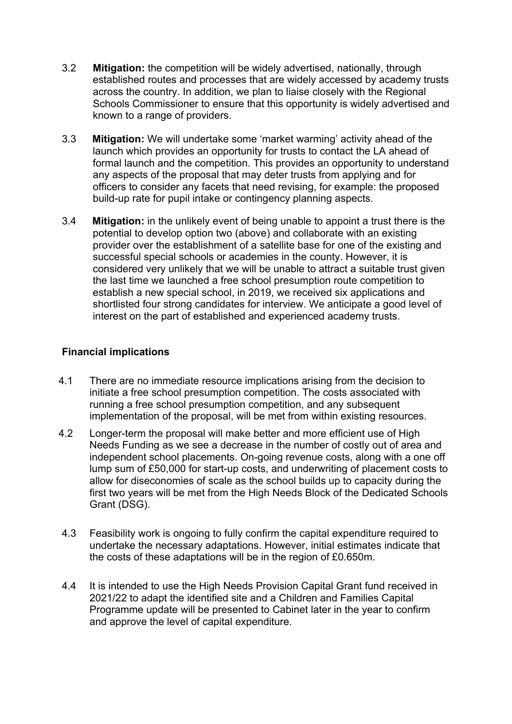- 3.2 **Mitigation:** the competition will be widely advertised, nationally, through established routes and processes that are widely accessed by academy trusts across the country. In addition, we plan to liaise closely with the Regional Schools Commissioner to ensure that this opportunity is widely advertised and known to a range of providers.
- 3.3 **Mitigation:** We will undertake some 'market warming' activity ahead of the launch which provides an opportunity for trusts to contact the LA ahead of formal launch and the competition. This provides an opportunity to understand any aspects of the proposal that may deter trusts from applying and for officers to consider any facets that need revising, for example: the proposed build-up rate for pupil intake or contingency planning aspects.
- 3.4 **Mitigation:** in the unlikely event of being unable to appoint a trust there is the potential to develop option two (above) and collaborate with an existing provider over the establishment of a satellite base for one of the existing and successful special schools or academies in the county. However, it is considered very unlikely that we will be unable to attract a suitable trust given the last time we launched a free school presumption route competition to establish a new special school, in 2019, we received six applications and shortlisted four strong candidates for interview. We anticipate a good level of interest on the part of established and experienced academy trusts.

## **Financial implications**

- 4.1 There are no immediate resource implications arising from the decision to initiate a free school presumption competition. The costs associated with running a free school presumption competition, and any subsequent implementation of the proposal, will be met from within existing resources.
- 4.2 Longer-term the proposal will make better and more efficient use of High Needs Funding as we see a decrease in the number of costly out of area and independent school placements. On-going revenue costs, along with a one off lump sum of £50,000 for start-up costs, and underwriting of placement costs to allow for diseconomies of scale as the school builds up to capacity during the first two years will be met from the High Needs Block of the Dedicated Schools Grant (DSG).
- 4.3 Feasibility work is ongoing to fully confirm the capital expenditure required to undertake the necessary adaptations. However, initial estimates indicate that the costs of these adaptations will be in the region of £0.650m.
- 4.4 It is intended to use the High Needs Provision Capital Grant fund received in 2021/22 to adapt the identified site and a Children and Families Capital Programme update will be presented to Cabinet later in the year to confirm and approve the level of capital expenditure.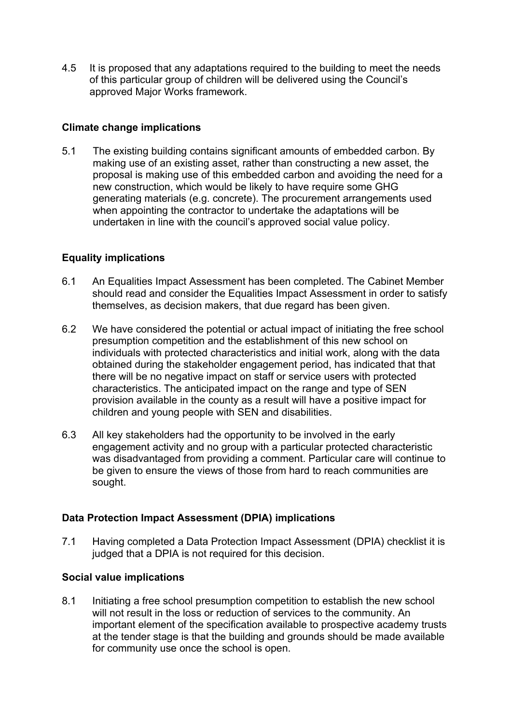4.5 It is proposed that any adaptations required to the building to meet the needs of this particular group of children will be delivered using the Council's approved Major Works framework.

### **Climate change implications**

5.1 The existing building contains significant amounts of embedded carbon. By making use of an existing asset, rather than constructing a new asset, the proposal is making use of this embedded carbon and avoiding the need for a new construction, which would be likely to have require some GHG generating materials (e.g. concrete). The procurement arrangements used when appointing the contractor to undertake the adaptations will be undertaken in line with the council's approved social value policy.

## **Equality implications**

- 6.1 An Equalities Impact Assessment has been completed. The Cabinet Member should read and consider the Equalities Impact Assessment in order to satisfy themselves, as decision makers, that due regard has been given.
- 6.2 We have considered the potential or actual impact of initiating the free school presumption competition and the establishment of this new school on individuals with protected characteristics and initial work, along with the data obtained during the stakeholder engagement period, has indicated that that there will be no negative impact on staff or service users with protected characteristics. The anticipated impact on the range and type of SEN provision available in the county as a result will have a positive impact for children and young people with SEN and disabilities.
- 6.3 All key stakeholders had the opportunity to be involved in the early engagement activity and no group with a particular protected characteristic was disadvantaged from providing a comment. Particular care will continue to be given to ensure the views of those from hard to reach communities are sought.

### **Data Protection Impact Assessment (DPIA) implications**

7.1 Having completed a Data Protection Impact Assessment (DPIA) checklist it is judged that a DPIA is not required for this decision.

### **Social value implications**

8.1 Initiating a free school presumption competition to establish the new school will not result in the loss or reduction of services to the community. An important element of the specification available to prospective academy trusts at the tender stage is that the building and grounds should be made available for community use once the school is open.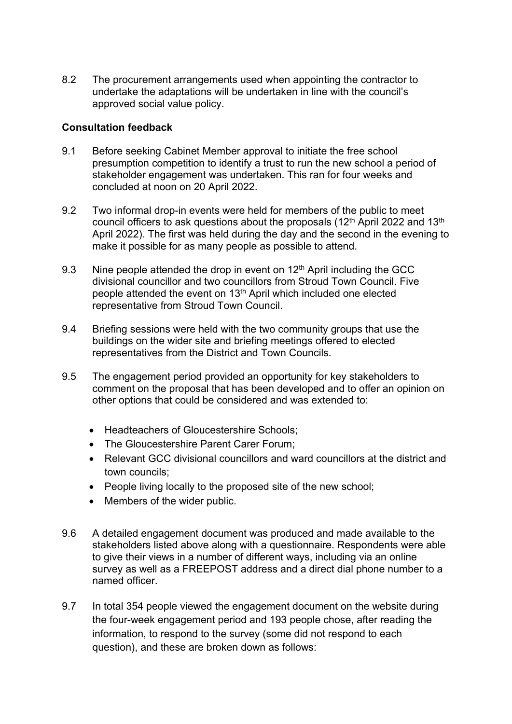8.2 The procurement arrangements used when appointing the contractor to undertake the adaptations will be undertaken in line with the council's approved social value policy.

### **Consultation feedback**

- 9.1 Before seeking Cabinet Member approval to initiate the free school presumption competition to identify a trust to run the new school a period of stakeholder engagement was undertaken. This ran for four weeks and concluded at noon on 20 April 2022.
- 9.2 Two informal drop-in events were held for members of the public to meet council officers to ask questions about the proposals (12<sup>th</sup> April 2022 and 13<sup>th</sup> April 2022). The first was held during the day and the second in the evening to make it possible for as many people as possible to attend.
- 9.3 Nine people attended the drop in event on  $12<sup>th</sup>$  April including the GCC divisional councillor and two councillors from Stroud Town Council. Five people attended the event on 13th April which included one elected representative from Stroud Town Council.
- 9.4 Briefing sessions were held with the two community groups that use the buildings on the wider site and briefing meetings offered to elected representatives from the District and Town Councils.
- 9.5 The engagement period provided an opportunity for key stakeholders to comment on the proposal that has been developed and to offer an opinion on other options that could be considered and was extended to:
	- Headteachers of Gloucestershire Schools;
	- The Gloucestershire Parent Carer Forum;
	- Relevant GCC divisional councillors and ward councillors at the district and town councils;
	- People living locally to the proposed site of the new school;
	- Members of the wider public.
- 9.6 A detailed engagement document was produced and made available to the stakeholders listed above along with a questionnaire. Respondents were able to give their views in a number of different ways, including via an online survey as well as a FREEPOST address and a direct dial phone number to a named officer.
- 9.7 In total 354 people viewed the engagement document on the website during the four-week engagement period and 193 people chose, after reading the information, to respond to the survey (some did not respond to each question), and these are broken down as follows: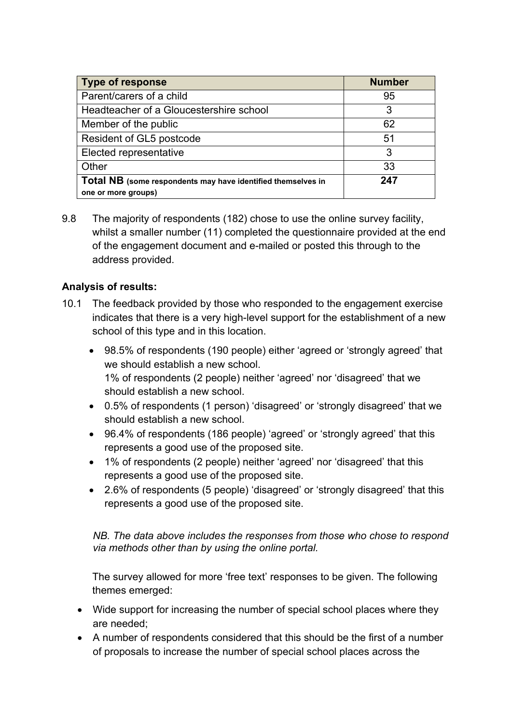| <b>Type of response</b>                                      | <b>Number</b> |
|--------------------------------------------------------------|---------------|
| Parent/carers of a child                                     | 95            |
| Headteacher of a Gloucestershire school                      | 3             |
| Member of the public                                         | 62            |
| Resident of GL5 postcode                                     | 51            |
| Elected representative                                       | 3             |
| Other                                                        | 33            |
| Total NB (some respondents may have identified themselves in | 247           |
| one or more groups)                                          |               |

9.8 The majority of respondents (182) chose to use the online survey facility, whilst a smaller number (11) completed the questionnaire provided at the end of the engagement document and e-mailed or posted this through to the address provided.

## **Analysis of results:**

- 10.1 The feedback provided by those who responded to the engagement exercise indicates that there is a very high-level support for the establishment of a new school of this type and in this location.
	- 98.5% of respondents (190 people) either 'agreed or 'strongly agreed' that we should establish a new school. 1% of respondents (2 people) neither 'agreed' nor 'disagreed' that we should establish a new school.
	- 0.5% of respondents (1 person) 'disagreed' or 'strongly disagreed' that we should establish a new school.
	- 96.4% of respondents (186 people) 'agreed' or 'strongly agreed' that this represents a good use of the proposed site.
	- 1% of respondents (2 people) neither 'agreed' nor 'disagreed' that this represents a good use of the proposed site.
	- 2.6% of respondents (5 people) 'disagreed' or 'strongly disagreed' that this represents a good use of the proposed site.

*NB. The data above includes the responses from those who chose to respond via methods other than by using the online portal.*

The survey allowed for more 'free text' responses to be given. The following themes emerged:

- Wide support for increasing the number of special school places where they are needed;
- A number of respondents considered that this should be the first of a number of proposals to increase the number of special school places across the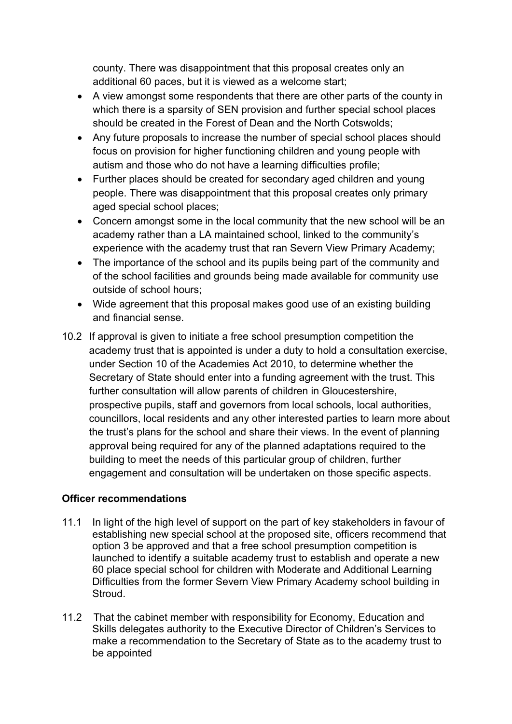county. There was disappointment that this proposal creates only an additional 60 paces, but it is viewed as a welcome start;

- A view amongst some respondents that there are other parts of the county in which there is a sparsity of SEN provision and further special school places should be created in the Forest of Dean and the North Cotswolds;
- Any future proposals to increase the number of special school places should focus on provision for higher functioning children and young people with autism and those who do not have a learning difficulties profile;
- Further places should be created for secondary aged children and young people. There was disappointment that this proposal creates only primary aged special school places;
- Concern amongst some in the local community that the new school will be an academy rather than a LA maintained school, linked to the community's experience with the academy trust that ran Severn View Primary Academy;
- The importance of the school and its pupils being part of the community and of the school facilities and grounds being made available for community use outside of school hours;
- Wide agreement that this proposal makes good use of an existing building and financial sense.
- 10.2 If approval is given to initiate a free school presumption competition the academy trust that is appointed is under a duty to hold a consultation exercise, under Section 10 of the Academies Act 2010, to determine whether the Secretary of State should enter into a funding agreement with the trust. This further consultation will allow parents of children in Gloucestershire, prospective pupils, staff and governors from local schools, local authorities, councillors, local residents and any other interested parties to learn more about the trust's plans for the school and share their views. In the event of planning approval being required for any of the planned adaptations required to the building to meet the needs of this particular group of children, further engagement and consultation will be undertaken on those specific aspects.

## **Officer recommendations**

- 11.1 In light of the high level of support on the part of key stakeholders in favour of establishing new special school at the proposed site, officers recommend that option 3 be approved and that a free school presumption competition is launched to identify a suitable academy trust to establish and operate a new 60 place special school for children with Moderate and Additional Learning Difficulties from the former Severn View Primary Academy school building in Stroud.
- 11.2 That the cabinet member with responsibility for Economy, Education and Skills delegates authority to the Executive Director of Children's Services to make a recommendation to the Secretary of State as to the academy trust to be appointed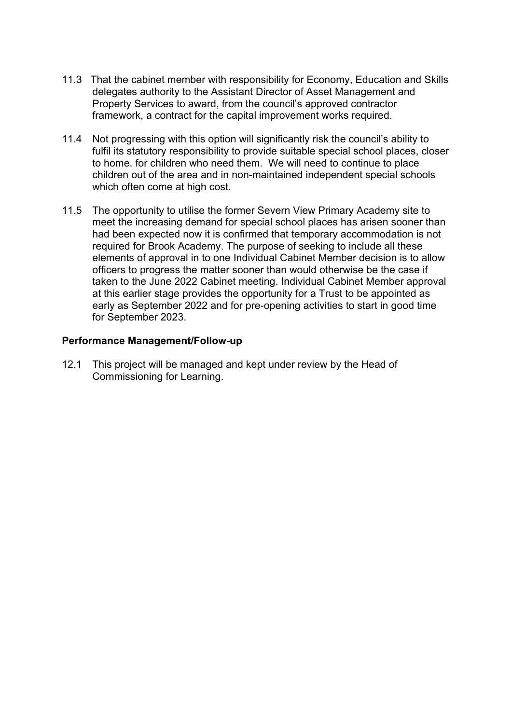- 11.3 That the cabinet member with responsibility for Economy, Education and Skills delegates authority to the Assistant Director of Asset Management and Property Services to award, from the council's approved contractor framework, a contract for the capital improvement works required.
- 11.4 Not progressing with this option will significantly risk the council's ability to fulfil its statutory responsibility to provide suitable special school places, closer to home. for children who need them. We will need to continue to place children out of the area and in non-maintained independent special schools which often come at high cost.
- 11.5 The opportunity to utilise the former Severn View Primary Academy site to meet the increasing demand for special school places has arisen sooner than had been expected now it is confirmed that temporary accommodation is not required for Brook Academy. The purpose of seeking to include all these elements of approval in to one Individual Cabinet Member decision is to allow officers to progress the matter sooner than would otherwise be the case if taken to the June 2022 Cabinet meeting. Individual Cabinet Member approval at this earlier stage provides the opportunity for a Trust to be appointed as early as September 2022 and for pre-opening activities to start in good time for September 2023.

### **Performance Management/Follow-up**

12.1 This project will be managed and kept under review by the Head of Commissioning for Learning.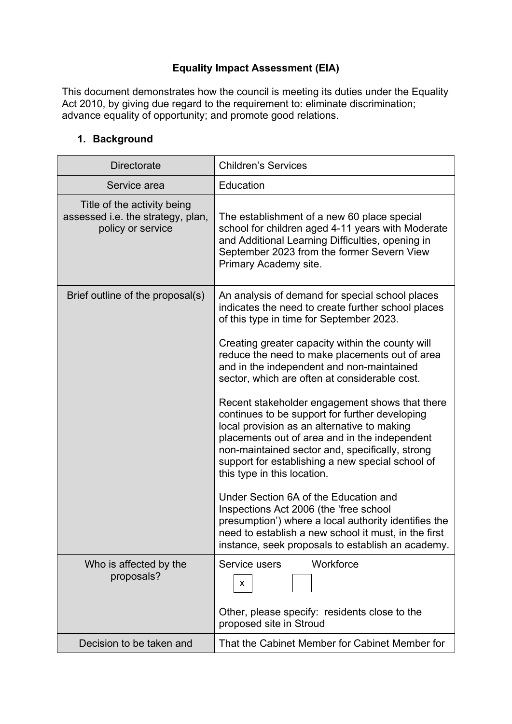## **Equality Impact Assessment (EIA)**

This document demonstrates how the council is meeting its duties under the Equality Act 2010, by giving due regard to the requirement to: eliminate discrimination; advance equality of opportunity; and promote good relations.

## **1. Background**

| <b>Directorate</b>                                                                    | <b>Children's Services</b>                                                                                                                                                                                                                                                                                                             |
|---------------------------------------------------------------------------------------|----------------------------------------------------------------------------------------------------------------------------------------------------------------------------------------------------------------------------------------------------------------------------------------------------------------------------------------|
| Service area                                                                          | Education                                                                                                                                                                                                                                                                                                                              |
| Title of the activity being<br>assessed i.e. the strategy, plan,<br>policy or service | The establishment of a new 60 place special<br>school for children aged 4-11 years with Moderate<br>and Additional Learning Difficulties, opening in<br>September 2023 from the former Severn View<br>Primary Academy site.                                                                                                            |
| Brief outline of the proposal(s)                                                      | An analysis of demand for special school places<br>indicates the need to create further school places<br>of this type in time for September 2023.<br>Creating greater capacity within the county will<br>reduce the need to make placements out of area                                                                                |
|                                                                                       | and in the independent and non-maintained<br>sector, which are often at considerable cost.                                                                                                                                                                                                                                             |
|                                                                                       | Recent stakeholder engagement shows that there<br>continues to be support for further developing<br>local provision as an alternative to making<br>placements out of area and in the independent<br>non-maintained sector and, specifically, strong<br>support for establishing a new special school of<br>this type in this location. |
|                                                                                       | Under Section 6A of the Education and<br>Inspections Act 2006 (the 'free school<br>presumption') where a local authority identifies the<br>need to establish a new school it must, in the first<br>instance, seek proposals to establish an academy.                                                                                   |
| Who is affected by the<br>proposals?                                                  | Service users<br>Workforce<br>X                                                                                                                                                                                                                                                                                                        |
|                                                                                       | Other, please specify: residents close to the<br>proposed site in Stroud                                                                                                                                                                                                                                                               |
| Decision to be taken and                                                              | That the Cabinet Member for Cabinet Member for                                                                                                                                                                                                                                                                                         |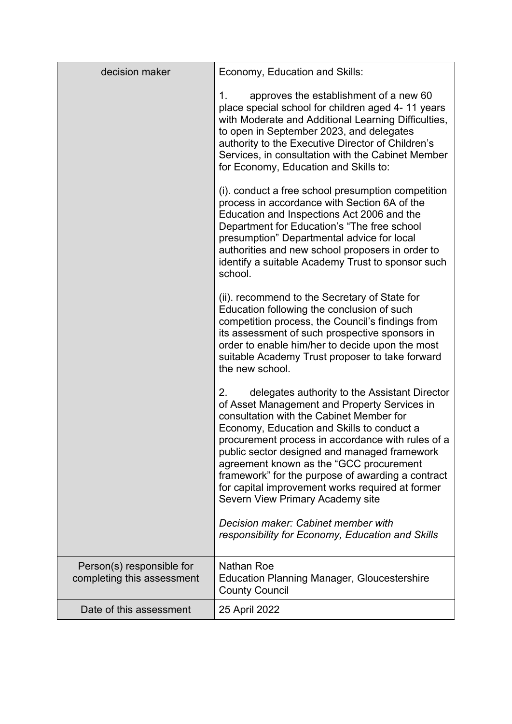| decision maker                                          | Economy, Education and Skills:                                                                                                                                                                                                                                                                                                                                                                                                                                                             |
|---------------------------------------------------------|--------------------------------------------------------------------------------------------------------------------------------------------------------------------------------------------------------------------------------------------------------------------------------------------------------------------------------------------------------------------------------------------------------------------------------------------------------------------------------------------|
|                                                         | approves the establishment of a new 60<br>1.<br>place special school for children aged 4-11 years<br>with Moderate and Additional Learning Difficulties,<br>to open in September 2023, and delegates<br>authority to the Executive Director of Children's<br>Services, in consultation with the Cabinet Member<br>for Economy, Education and Skills to:                                                                                                                                    |
|                                                         | (i). conduct a free school presumption competition<br>process in accordance with Section 6A of the<br>Education and Inspections Act 2006 and the<br>Department for Education's "The free school"<br>presumption" Departmental advice for local<br>authorities and new school proposers in order to<br>identify a suitable Academy Trust to sponsor such<br>school.                                                                                                                         |
|                                                         | (ii). recommend to the Secretary of State for<br>Education following the conclusion of such<br>competition process, the Council's findings from<br>its assessment of such prospective sponsors in<br>order to enable him/her to decide upon the most<br>suitable Academy Trust proposer to take forward<br>the new school.                                                                                                                                                                 |
|                                                         | delegates authority to the Assistant Director<br>2.<br>of Asset Management and Property Services in<br>consultation with the Cabinet Member for<br>Economy, Education and Skills to conduct a<br>procurement process in accordance with rules of a<br>public sector designed and managed framework<br>agreement known as the "GCC procurement<br>framework" for the purpose of awarding a contract<br>for capital improvement works required at former<br>Severn View Primary Academy site |
|                                                         | Decision maker: Cabinet member with<br>responsibility for Economy, Education and Skills                                                                                                                                                                                                                                                                                                                                                                                                    |
| Person(s) responsible for<br>completing this assessment | Nathan Roe<br><b>Education Planning Manager, Gloucestershire</b><br><b>County Council</b>                                                                                                                                                                                                                                                                                                                                                                                                  |
| Date of this assessment                                 | 25 April 2022                                                                                                                                                                                                                                                                                                                                                                                                                                                                              |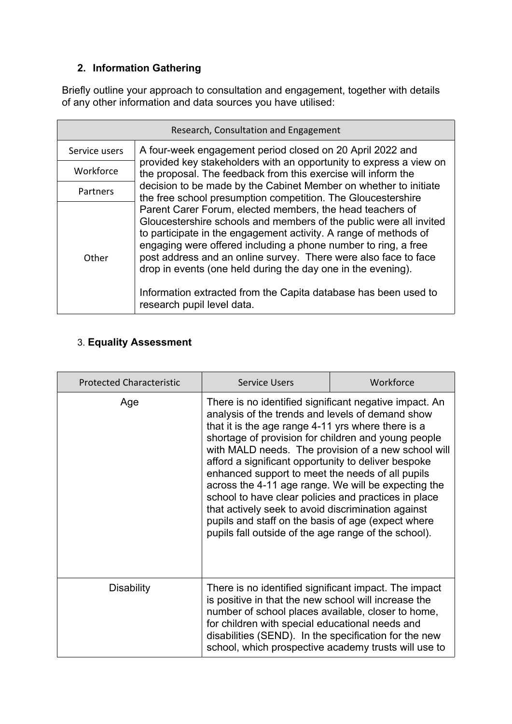# **2. Information Gathering**

Briefly outline your approach to consultation and engagement, together with details of any other information and data sources you have utilised:

| Research, Consultation and Engagement |                                                                                                                                                                                                                                                                                                                                                                                                                                                                                                           |  |
|---------------------------------------|-----------------------------------------------------------------------------------------------------------------------------------------------------------------------------------------------------------------------------------------------------------------------------------------------------------------------------------------------------------------------------------------------------------------------------------------------------------------------------------------------------------|--|
| Service users                         | A four-week engagement period closed on 20 April 2022 and                                                                                                                                                                                                                                                                                                                                                                                                                                                 |  |
| Workforce                             | provided key stakeholders with an opportunity to express a view on<br>the proposal. The feedback from this exercise will inform the                                                                                                                                                                                                                                                                                                                                                                       |  |
| Partners                              | decision to be made by the Cabinet Member on whether to initiate<br>the free school presumption competition. The Gloucestershire                                                                                                                                                                                                                                                                                                                                                                          |  |
| Other                                 | Parent Carer Forum, elected members, the head teachers of<br>Gloucestershire schools and members of the public were all invited<br>to participate in the engagement activity. A range of methods of<br>engaging were offered including a phone number to ring, a free<br>post address and an online survey. There were also face to face<br>drop in events (one held during the day one in the evening).<br>Information extracted from the Capita database has been used to<br>research pupil level data. |  |

## 3. **Equality Assessment**

| <b>Protected Characteristic</b> | <b>Service Users</b>                                                                                                                                                                                                                                                                                                                                                                                                                                                                                                                                                                                                                                                         | Workforce |
|---------------------------------|------------------------------------------------------------------------------------------------------------------------------------------------------------------------------------------------------------------------------------------------------------------------------------------------------------------------------------------------------------------------------------------------------------------------------------------------------------------------------------------------------------------------------------------------------------------------------------------------------------------------------------------------------------------------------|-----------|
| Age                             | There is no identified significant negative impact. An<br>analysis of the trends and levels of demand show<br>that it is the age range 4-11 yrs where there is a<br>shortage of provision for children and young people<br>with MALD needs. The provision of a new school will<br>afford a significant opportunity to deliver bespoke<br>enhanced support to meet the needs of all pupils<br>across the 4-11 age range. We will be expecting the<br>school to have clear policies and practices in place<br>that actively seek to avoid discrimination against<br>pupils and staff on the basis of age (expect where<br>pupils fall outside of the age range of the school). |           |
| <b>Disability</b>               | There is no identified significant impact. The impact<br>is positive in that the new school will increase the<br>number of school places available, closer to home,<br>for children with special educational needs and<br>disabilities (SEND). In the specification for the new<br>school, which prospective academy trusts will use to                                                                                                                                                                                                                                                                                                                                      |           |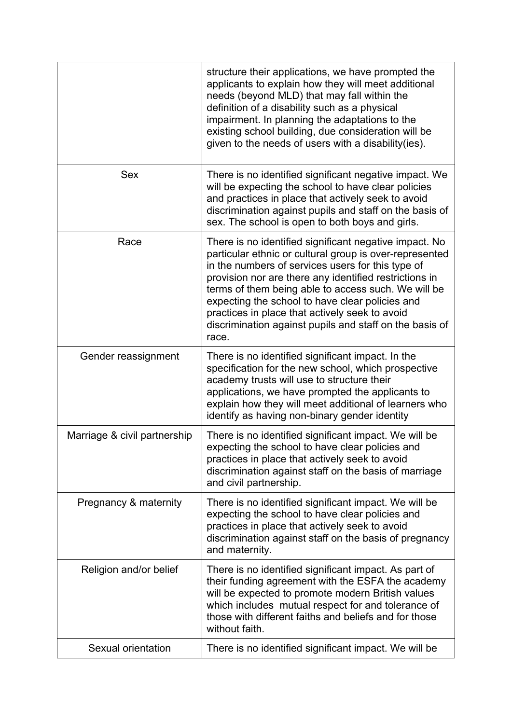|                              | structure their applications, we have prompted the<br>applicants to explain how they will meet additional<br>needs (beyond MLD) that may fall within the<br>definition of a disability such as a physical<br>impairment. In planning the adaptations to the<br>existing school building, due consideration will be<br>given to the needs of users with a disability (ies).                                                                                       |
|------------------------------|------------------------------------------------------------------------------------------------------------------------------------------------------------------------------------------------------------------------------------------------------------------------------------------------------------------------------------------------------------------------------------------------------------------------------------------------------------------|
| <b>Sex</b>                   | There is no identified significant negative impact. We<br>will be expecting the school to have clear policies<br>and practices in place that actively seek to avoid<br>discrimination against pupils and staff on the basis of<br>sex. The school is open to both boys and girls.                                                                                                                                                                                |
| Race                         | There is no identified significant negative impact. No<br>particular ethnic or cultural group is over-represented<br>in the numbers of services users for this type of<br>provision nor are there any identified restrictions in<br>terms of them being able to access such. We will be<br>expecting the school to have clear policies and<br>practices in place that actively seek to avoid<br>discrimination against pupils and staff on the basis of<br>race. |
| Gender reassignment          | There is no identified significant impact. In the<br>specification for the new school, which prospective<br>academy trusts will use to structure their<br>applications, we have prompted the applicants to<br>explain how they will meet additional of learners who<br>identify as having non-binary gender identity                                                                                                                                             |
| Marriage & civil partnership | There is no identified significant impact. We will be<br>expecting the school to have clear policies and<br>practices in place that actively seek to avoid<br>discrimination against staff on the basis of marriage<br>and civil partnership.                                                                                                                                                                                                                    |
| Pregnancy & maternity        | There is no identified significant impact. We will be<br>expecting the school to have clear policies and<br>practices in place that actively seek to avoid<br>discrimination against staff on the basis of pregnancy<br>and maternity.                                                                                                                                                                                                                           |
| Religion and/or belief       | There is no identified significant impact. As part of<br>their funding agreement with the ESFA the academy<br>will be expected to promote modern British values<br>which includes mutual respect for and tolerance of<br>those with different faiths and beliefs and for those<br>without faith.                                                                                                                                                                 |
| Sexual orientation           | There is no identified significant impact. We will be                                                                                                                                                                                                                                                                                                                                                                                                            |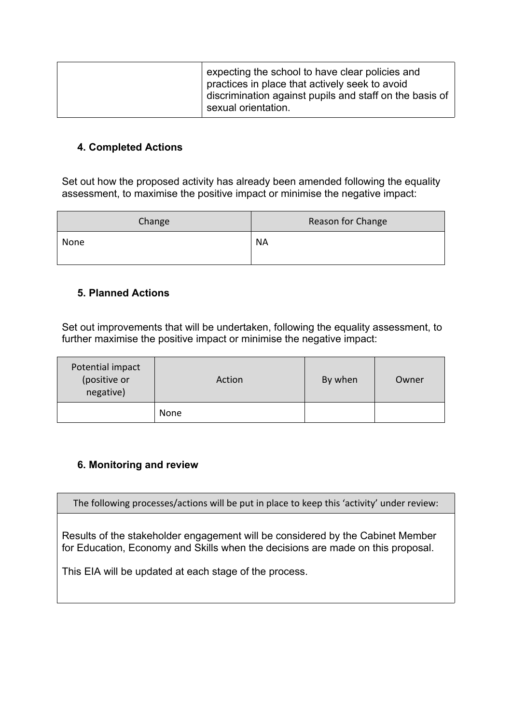| expecting the school to have clear policies and<br>practices in place that actively seek to avoid |
|---------------------------------------------------------------------------------------------------|
| discrimination against pupils and staff on the basis of<br>sexual orientation.                    |

### **4. Completed Actions**

Set out how the proposed activity has already been amended following the equality assessment, to maximise the positive impact or minimise the negative impact:

| Change | Reason for Change |
|--------|-------------------|
| None   | <b>NA</b>         |

### **5. Planned Actions**

Set out improvements that will be undertaken, following the equality assessment, to further maximise the positive impact or minimise the negative impact:

| Potential impact<br>(positive or<br>negative) | Action | By when | Owner |
|-----------------------------------------------|--------|---------|-------|
|                                               | None   |         |       |

## **6. Monitoring and review**

The following processes/actions will be put in place to keep this 'activity' under review:

Results of the stakeholder engagement will be considered by the Cabinet Member for Education, Economy and Skills when the decisions are made on this proposal.

This EIA will be updated at each stage of the process.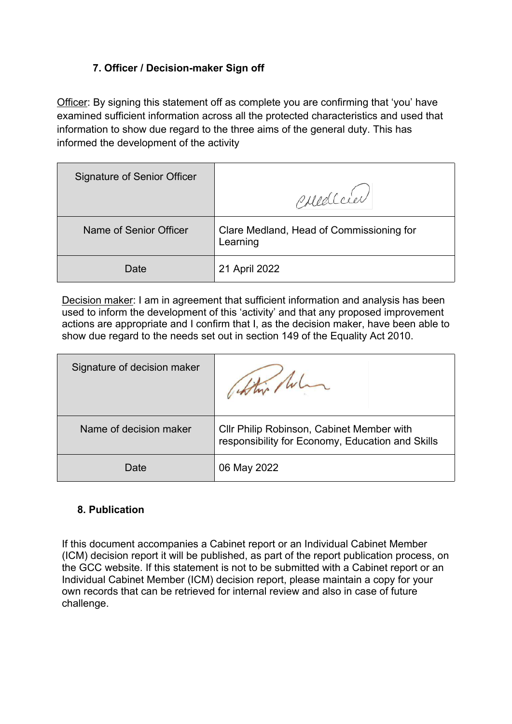## **7. Officer / Decision-maker Sign off**

Officer: By signing this statement off as complete you are confirming that 'you' have examined sufficient information across all the protected characteristics and used that information to show due regard to the three aims of the general duty. This has informed the development of the activity

| <b>Signature of Senior Officer</b> | Corred Cier                                          |
|------------------------------------|------------------------------------------------------|
| Name of Senior Officer             | Clare Medland, Head of Commissioning for<br>Learning |
| Date                               | 21 April 2022                                        |

Decision maker: I am in agreement that sufficient information and analysis has been used to inform the development of this 'activity' and that any proposed improvement actions are appropriate and I confirm that I, as the decision maker, have been able to show due regard to the needs set out in section 149 of the Equality Act 2010.

| Signature of decision maker | which luc                                                                                     |
|-----------------------------|-----------------------------------------------------------------------------------------------|
| Name of decision maker      | CIIr Philip Robinson, Cabinet Member with<br>responsibility for Economy, Education and Skills |
| Date                        | 06 May 2022                                                                                   |

## **8. Publication**

If this document accompanies a Cabinet report or an Individual Cabinet Member (ICM) decision report it will be published, as part of the report publication process, on the GCC website. If this statement is not to be submitted with a Cabinet report or an Individual Cabinet Member (ICM) decision report, please maintain a copy for your own records that can be retrieved for internal review and also in case of future challenge.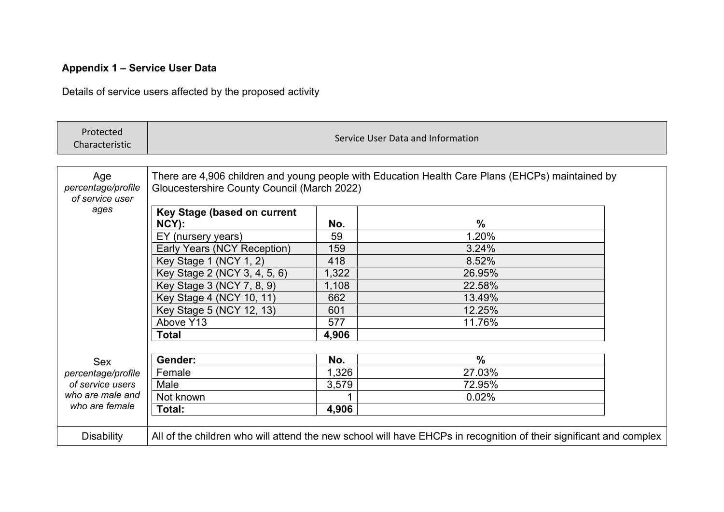# **Appendix 1 – Service User Data**

Details of service users affected by the proposed activity

| Protected<br>Characteristic                  | Service User Data and Information                                                                                                               |       |               |  |
|----------------------------------------------|-------------------------------------------------------------------------------------------------------------------------------------------------|-------|---------------|--|
|                                              |                                                                                                                                                 |       |               |  |
| Age<br>percentage/profile<br>of service user | There are 4,906 children and young people with Education Health Care Plans (EHCPs) maintained by<br>Gloucestershire County Council (March 2022) |       |               |  |
| ages                                         | Key Stage (based on current                                                                                                                     |       |               |  |
|                                              | NCY):                                                                                                                                           | No.   | $\frac{0}{0}$ |  |
|                                              | EY (nursery years)                                                                                                                              | 59    | 1.20%         |  |
|                                              | Early Years (NCY Reception)                                                                                                                     | 159   | 3.24%         |  |
|                                              | Key Stage 1 (NCY 1, 2)                                                                                                                          | 418   | 8.52%         |  |
|                                              | Key Stage 2 (NCY 3, 4, 5, 6)                                                                                                                    | 1,322 | 26.95%        |  |
|                                              | Key Stage 3 (NCY 7, 8, 9)                                                                                                                       | 1,108 | 22.58%        |  |
|                                              | Key Stage 4 (NCY 10, 11)                                                                                                                        | 662   | 13.49%        |  |
|                                              | Key Stage 5 (NCY 12, 13)                                                                                                                        | 601   | 12.25%        |  |
|                                              | Above Y13                                                                                                                                       | 577   | 11.76%        |  |
|                                              | <b>Total</b>                                                                                                                                    | 4,906 |               |  |
|                                              |                                                                                                                                                 |       |               |  |
| <b>Sex</b>                                   | Gender:                                                                                                                                         | No.   | $\%$          |  |
| percentage/profile                           | Female                                                                                                                                          | 1,326 | 27.03%        |  |
| of service users                             | Male                                                                                                                                            | 3,579 | 72.95%        |  |
| who are male and<br>who are female           | Not known                                                                                                                                       |       | 0.02%         |  |
|                                              | Total:                                                                                                                                          | 4,906 |               |  |
|                                              |                                                                                                                                                 |       |               |  |
| <b>Disability</b>                            | All of the children who will attend the new school will have EHCPs in recognition of their significant and complex                              |       |               |  |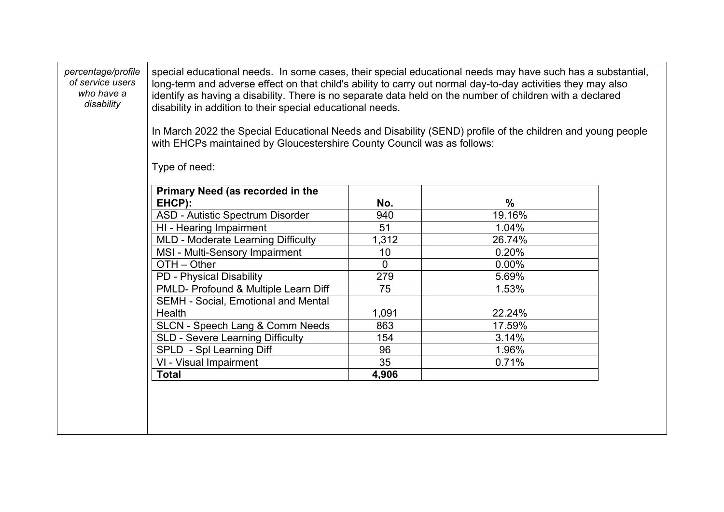| percentage/profile<br>of service users<br>who have a<br>disability | disability in addition to their special educational needs.<br>with EHCPs maintained by Gloucestershire County Council was as follows:<br>Type of need: |                | special educational needs. In some cases, their special educational needs may have such has a substantial,<br>long-term and adverse effect on that child's ability to carry out normal day-to-day activities they may also<br>identify as having a disability. There is no separate data held on the number of children with a declared<br>In March 2022 the Special Educational Needs and Disability (SEND) profile of the children and young people |
|--------------------------------------------------------------------|--------------------------------------------------------------------------------------------------------------------------------------------------------|----------------|-------------------------------------------------------------------------------------------------------------------------------------------------------------------------------------------------------------------------------------------------------------------------------------------------------------------------------------------------------------------------------------------------------------------------------------------------------|
|                                                                    | Primary Need (as recorded in the                                                                                                                       |                |                                                                                                                                                                                                                                                                                                                                                                                                                                                       |
|                                                                    | EHCP):                                                                                                                                                 | No.            | $\frac{0}{0}$                                                                                                                                                                                                                                                                                                                                                                                                                                         |
|                                                                    | ASD - Autistic Spectrum Disorder                                                                                                                       | 940            | 19.16%                                                                                                                                                                                                                                                                                                                                                                                                                                                |
|                                                                    | HI - Hearing Impairment                                                                                                                                | 51             | 1.04%                                                                                                                                                                                                                                                                                                                                                                                                                                                 |
|                                                                    | MLD - Moderate Learning Difficulty                                                                                                                     | 1,312          | 26.74%                                                                                                                                                                                                                                                                                                                                                                                                                                                |
|                                                                    | MSI - Multi-Sensory Impairment                                                                                                                         | 10             | 0.20%                                                                                                                                                                                                                                                                                                                                                                                                                                                 |
|                                                                    | OTH - Other                                                                                                                                            | $\overline{0}$ | $0.00\%$                                                                                                                                                                                                                                                                                                                                                                                                                                              |
|                                                                    | PD - Physical Disability                                                                                                                               | 279            | 5.69%                                                                                                                                                                                                                                                                                                                                                                                                                                                 |
|                                                                    | PMLD- Profound & Multiple Learn Diff                                                                                                                   | 75             | 1.53%                                                                                                                                                                                                                                                                                                                                                                                                                                                 |
|                                                                    | <b>SEMH - Social, Emotional and Mental</b>                                                                                                             |                |                                                                                                                                                                                                                                                                                                                                                                                                                                                       |
|                                                                    | Health                                                                                                                                                 | 1,091          | 22.24%                                                                                                                                                                                                                                                                                                                                                                                                                                                |
|                                                                    | SLCN - Speech Lang & Comm Needs                                                                                                                        | 863            | 17.59%                                                                                                                                                                                                                                                                                                                                                                                                                                                |
|                                                                    | SLD - Severe Learning Difficulty                                                                                                                       | 154            | 3.14%                                                                                                                                                                                                                                                                                                                                                                                                                                                 |
|                                                                    | SPLD - Spl Learning Diff                                                                                                                               | 96             | 1.96%                                                                                                                                                                                                                                                                                                                                                                                                                                                 |
|                                                                    | VI - Visual Impairment                                                                                                                                 | 35             | 0.71%                                                                                                                                                                                                                                                                                                                                                                                                                                                 |
|                                                                    | <b>Total</b>                                                                                                                                           | 4,906          |                                                                                                                                                                                                                                                                                                                                                                                                                                                       |
|                                                                    |                                                                                                                                                        |                |                                                                                                                                                                                                                                                                                                                                                                                                                                                       |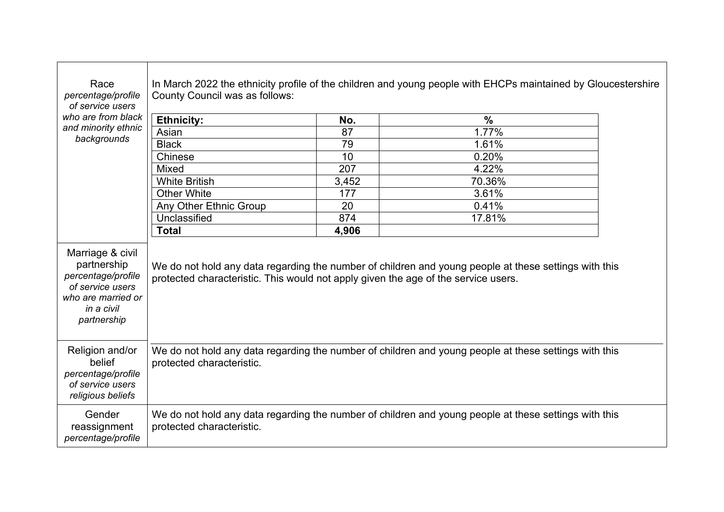| Race<br>percentage/profile<br>of service users                                                                               | In March 2022 the ethnicity profile of the children and young people with EHCPs maintained by Gloucestershire<br>County Council was as follows:                                             |       |               |
|------------------------------------------------------------------------------------------------------------------------------|---------------------------------------------------------------------------------------------------------------------------------------------------------------------------------------------|-------|---------------|
| who are from black<br>and minority ethnic                                                                                    | <b>Ethnicity:</b>                                                                                                                                                                           | No.   | $\frac{0}{0}$ |
|                                                                                                                              | Asian                                                                                                                                                                                       | 87    | 1.77%         |
| backgrounds                                                                                                                  | <b>Black</b>                                                                                                                                                                                | 79    | 1.61%         |
|                                                                                                                              | Chinese                                                                                                                                                                                     | 10    | 0.20%         |
|                                                                                                                              | <b>Mixed</b>                                                                                                                                                                                | 207   | 4.22%         |
|                                                                                                                              | <b>White British</b>                                                                                                                                                                        | 3,452 | 70.36%        |
|                                                                                                                              | <b>Other White</b>                                                                                                                                                                          | 177   | 3.61%         |
|                                                                                                                              | Any Other Ethnic Group                                                                                                                                                                      | 20    | 0.41%         |
|                                                                                                                              | Unclassified                                                                                                                                                                                | 874   | 17.81%        |
|                                                                                                                              | <b>Total</b>                                                                                                                                                                                | 4,906 |               |
| Marriage & civil<br>partnership<br>percentage/profile<br>of service users<br>who are married or<br>in a civil<br>partnership | We do not hold any data regarding the number of children and young people at these settings with this<br>protected characteristic. This would not apply given the age of the service users. |       |               |
| Religion and/or<br>belief<br>percentage/profile<br>of service users<br>religious beliefs                                     | We do not hold any data regarding the number of children and young people at these settings with this<br>protected characteristic.                                                          |       |               |
| Gender<br>reassignment<br>percentage/profile                                                                                 | We do not hold any data regarding the number of children and young people at these settings with this<br>protected characteristic.                                                          |       |               |

 $\Gamma$ 

┱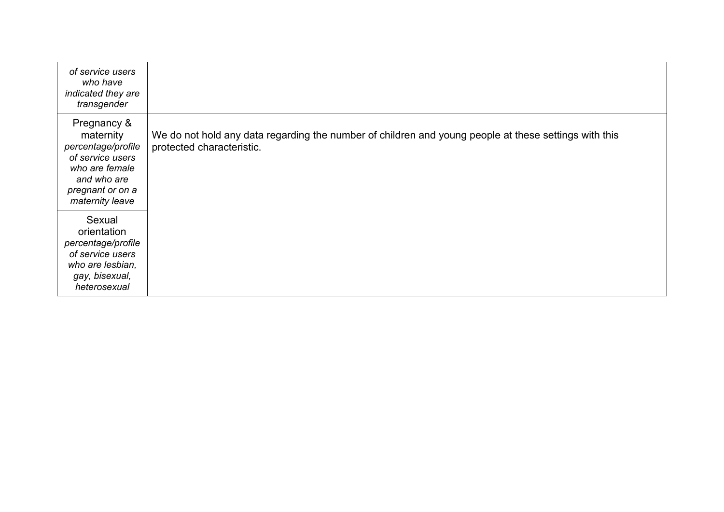| of service users<br>who have<br>indicated they are<br>transgender                                                                          |                                                                                                                                    |
|--------------------------------------------------------------------------------------------------------------------------------------------|------------------------------------------------------------------------------------------------------------------------------------|
| Pregnancy &<br>maternity<br>percentage/profile<br>of service users<br>who are female<br>and who are<br>pregnant or on a<br>maternity leave | We do not hold any data regarding the number of children and young people at these settings with this<br>protected characteristic. |
| Sexual<br>orientation<br>percentage/profile<br>of service users<br>who are lesbian,<br>gay, bisexual,<br>heterosexual                      |                                                                                                                                    |